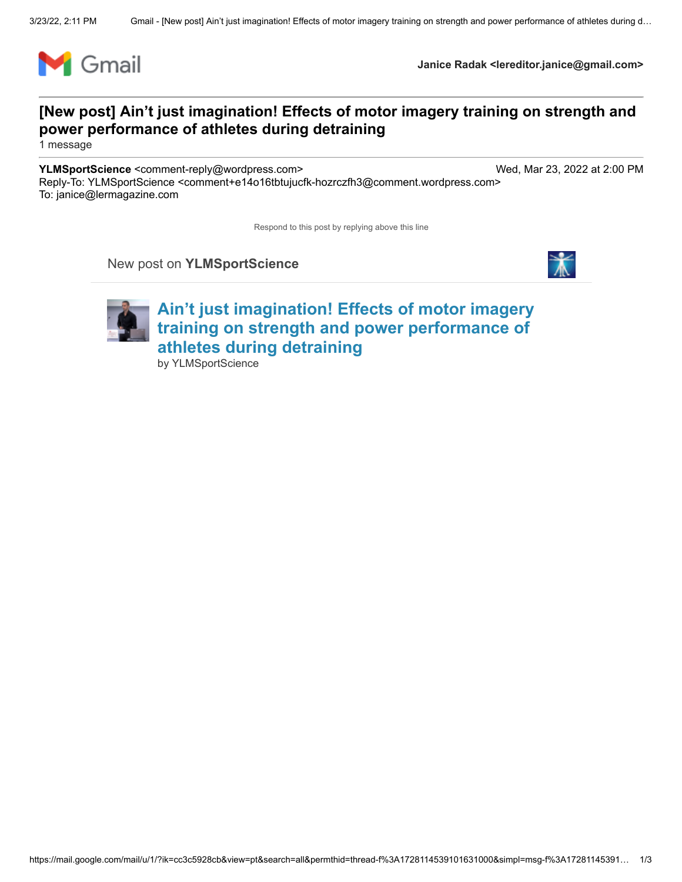

**Janice Radak <lereditor.janice@gmail.com>**

## **[New post] Ain't just imagination! Effects of motor imagery training on strength and power performance of athletes during detraining**

1 message

**YLMSportScience** <comment-reply@wordpress.com> Wed, Mar 23, 2022 at 2:00 PM Reply-To: YLMSportScience <comment+e14o16tbtujucfk-hozrczfh3@comment.wordpress.com> To: janice@lermagazine.com

Respond to this post by replying above this line

New post on **YLMSportScience**





**[Ain't just imagination! Effects of motor imagery](http://ylmsportscience.com/2022/03/23/aint-just-imagination-effects-of-motor-imagery-training-on-strength-and-power-performance-of-athletes-during-detraining/) training on strength and power performance of athletes during detraining** by [YLMSportScience](http://ylmsportscience.com/author/ylmsportscience/)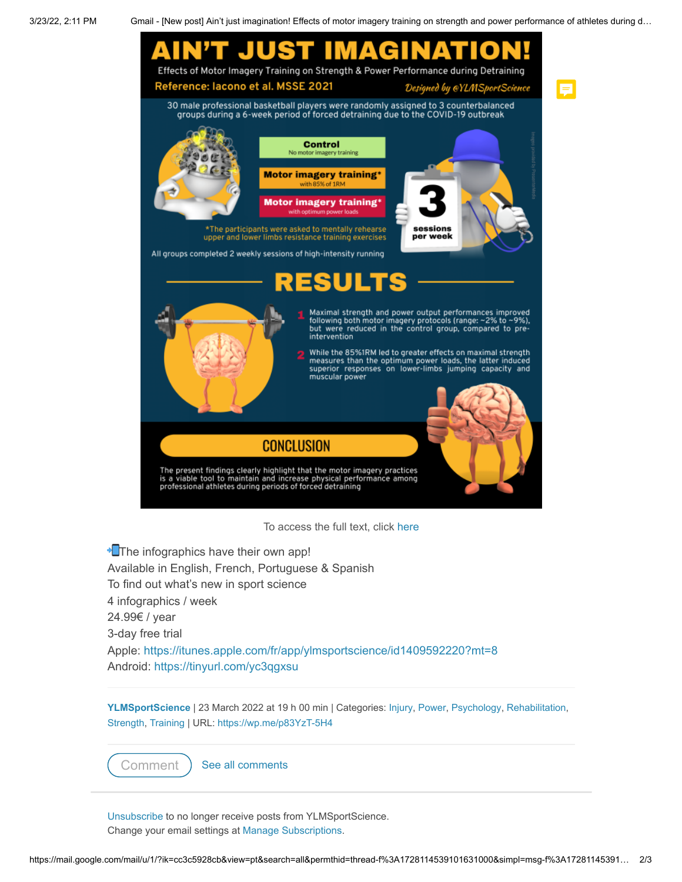3/23/22, 2:11 PM Gmail - [New post] Ain't just imagination! Effects of motor imagery training on strength and power performance of athletes during d…



**The infographics have their own app!** Available in English, French, Portuguese & Spanish To find out what's new in sport science 4 infographics / week 24.99€ / year 3-day free trial Apple:<https://itunes.apple.com/fr/app/ylmsportscience/id1409592220?mt=8> Android:<https://tinyurl.com/yc3qgxsu>

**[YLMSportScience](http://ylmsportscience.com/author/ylmsportscience/)** | 23 March 2022 at 19 h 00 min | Categories: [Injury,](http://ylmsportscience.com/category/injury/) [Power](http://ylmsportscience.com/category/power/), [Psychology](http://ylmsportscience.com/category/psychology/), [Rehabilitation](http://ylmsportscience.com/category/rehabilitation/), [Strength](http://ylmsportscience.com/category/strength/), [Training](http://ylmsportscience.com/category/training/) | URL: <https://wp.me/p83YzT-5H4>

[Comment](http://ylmsportscience.com/2022/03/23/aint-just-imagination-effects-of-motor-imagery-training-on-strength-and-power-performance-of-athletes-during-detraining/#respond) ) [See all comments](http://ylmsportscience.com/2022/03/23/aint-just-imagination-effects-of-motor-imagery-training-on-strength-and-power-performance-of-athletes-during-detraining/#comments)

[Unsubscribe](https://public-api.wordpress.com/bar/?stat=groovemails-events&bin=wpcom_email_click&redirect_to=https%3A%2F%2Fsubscribe.wordpress.com%2F%3Fkey%3De85da5f344510dbe81a5f1c892cee58f%26email%3Djanice%2540lermagazine.com%26b%3DvkyjfMxlNLQnHxhfjhJ_Rolf5oYaHlQRpfW1WN_Bcu1WEwQo8JZxrVFeZ5LXoDJoFhBjAZm3NufvLR1U3A%253D%253D&sr=1&signature=e60e36b5edde9053cf9fd637764490f7&user=9f5ac5f0f0b609c944921c4fef667136&_e=eyJlcnJvciI6bnVsbCwiYmxvZ19pZCI6MTE5MTU4NTM3LCJibG9nX2xhbmciOiJlbiIsInNpdGVfaWRfbGFiZWwiOiJ3cGNvbSIsImVtYWlsX25hbWUiOiJlbWFpbF9zdWJzY3JpcHRpb24iLCJfdXQiOiJhbm9uIiwiX3VpIjoiOWY1YWM1ZjBmMGI2MDljOTQ0OTIxYzRmZWY2NjcxMzYiLCJlbWFpbF9pZCI6ImYzNjRkYTM3MzkyY2I1MTFiODk3ZGQwMTM5YTU1ZDMzIiwiZGF0ZV9zZW50IjoiMjAyMi0wMy0yMyIsImRvbWFpbiI6InlsbXNwb3J0c2NpZW5jZS53b3JkcHJlc3MuY29tIiwiZnJlcXVlbmN5IjoiMCIsImRpZ2VzdCI6IjAiLCJoYXNfaHRtbCI6IjEiLCJsb2NhbGUiOiJlbiIsImFuY2hvcl90ZXh0IjoiVW5zdWJzY3JpYmUiLCJfZHIiOm51bGwsIl9kbCI6Ilwvd3AtY3Jvbi5waHA/ZG9pbmdfd3BfY3Jvbj0xNjQ4MDU4NDA2LjgwMTY4Nzk1NTg1NjMyMzI0MjE4NzUiLCJfZW4iOiJ3cGNvbV9lbWFpbF9jbGljayIsIl90cyI6MTY0ODA1ODQ0OTY3MywiYnJvd3Nlcl90eXBlIjoicGhwLWFnZW50IiwiX2F1YSI6IndwY29tLXRyYWNrcy1jbGllbnQtdjAuMyIsIl91bCI6bnVsbCwiYmxvZ190eiI6IjEiLCJ1c2VyX2xhbmciOm51bGx9&_z=z) to no longer receive posts from YLMSportScience. Change your email settings at [Manage Subscriptions](https://public-api.wordpress.com/bar/?stat=groovemails-events&bin=wpcom_email_click&redirect_to=https%3A%2F%2Fsubscribe.wordpress.com%2F%3Fkey%3De85da5f344510dbe81a5f1c892cee58f%26email%3Djanice%2540lermagazine.com&sr=1&signature=4a733882b7b1c8684fd5c9714af5951a&user=9f5ac5f0f0b609c944921c4fef667136&_e=eyJlcnJvciI6bnVsbCwiYmxvZ19pZCI6MTE5MTU4NTM3LCJibG9nX2xhbmciOiJlbiIsInNpdGVfaWRfbGFiZWwiOiJ3cGNvbSIsImVtYWlsX25hbWUiOiJlbWFpbF9zdWJzY3JpcHRpb24iLCJfdXQiOiJhbm9uIiwiX3VpIjoiOWY1YWM1ZjBmMGI2MDljOTQ0OTIxYzRmZWY2NjcxMzYiLCJlbWFpbF9pZCI6ImYzNjRkYTM3MzkyY2I1MTFiODk3ZGQwMTM5YTU1ZDMzIiwiZGF0ZV9zZW50IjoiMjAyMi0wMy0yMyIsImRvbWFpbiI6InlsbXNwb3J0c2NpZW5jZS53b3JkcHJlc3MuY29tIiwiZnJlcXVlbmN5IjoiMCIsImRpZ2VzdCI6IjAiLCJoYXNfaHRtbCI6IjEiLCJsb2NhbGUiOiJlbiIsImFuY2hvcl90ZXh0IjoiTWFuYWdlIFN1YnNjcmlwdGlvbnMiLCJfZHIiOm51bGwsIl9kbCI6Ilwvd3AtY3Jvbi5waHA/ZG9pbmdfd3BfY3Jvbj0xNjQ4MDU4NDA2LjgwMTY4Nzk1NTg1NjMyMzI0MjE4NzUiLCJfZW4iOiJ3cGNvbV9lbWFpbF9jbGljayIsIl90cyI6MTY0ODA1ODQ0OTY3MywiYnJvd3Nlcl90eXBlIjoicGhwLWFnZW50IiwiX2F1YSI6IndwY29tLXRyYWNrcy1jbGllbnQtdjAuMyIsIl91bCI6bnVsbCwiYmxvZ190eiI6IjEiLCJ1c2VyX2xhbmciOm51bGx9&_z=z).